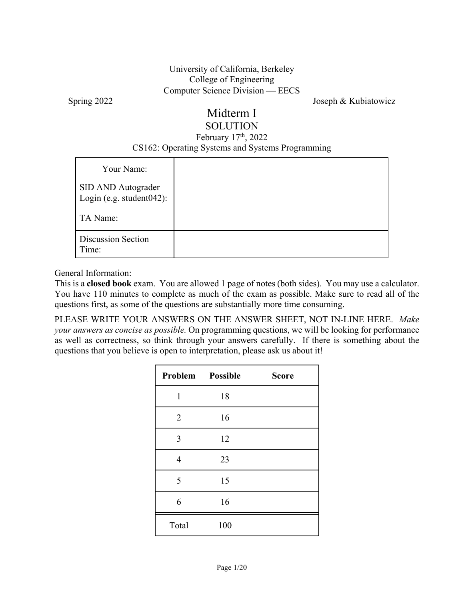### University of California, Berkeley College of Engineering Computer Science Division — EECS

Spring 2022 Joseph & Kubiatowicz

### Midterm I SOLUTION

### February  $17<sup>th</sup>$ , 2022 CS162: Operating Systems and Systems Programming

| Your Name:                                     |  |
|------------------------------------------------|--|
| SID AND Autograder<br>Login (e.g. student042): |  |
| TA Name:                                       |  |
| <b>Discussion Section</b><br>Time:             |  |

General Information:

This is a **closed book** exam. You are allowed 1 page of notes (both sides). You may use a calculator. You have 110 minutes to complete as much of the exam as possible. Make sure to read all of the questions first, as some of the questions are substantially more time consuming.

PLEASE WRITE YOUR ANSWERS ON THE ANSWER SHEET, NOT IN-LINE HERE. *Make your answers as concise as possible.* On programming questions, we will be looking for performance as well as correctness, so think through your answers carefully. If there is something about the questions that you believe is open to interpretation, please ask us about it!

| Problem<br><b>Possible</b> |     | <b>Score</b> |
|----------------------------|-----|--------------|
| $\mathbf{1}$               | 18  |              |
| $\overline{2}$             | 16  |              |
| 3                          | 12  |              |
| $\overline{4}$             | 23  |              |
| 5                          | 15  |              |
| 6                          | 16  |              |
| Total                      | 100 |              |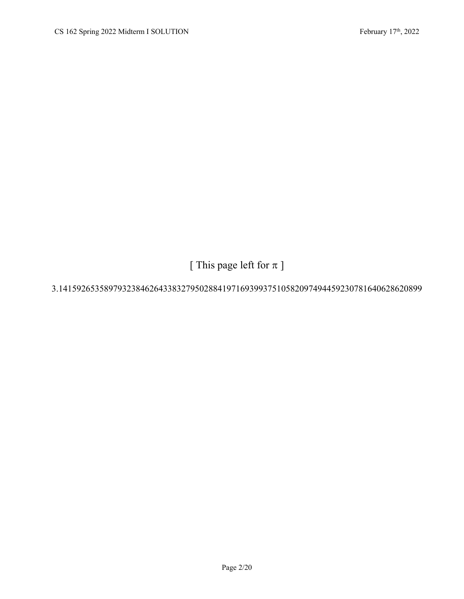[ This page left for  $\pi$  ]

### 3.14159265358979323846264338327950288419716939937510582097494459230781640628620899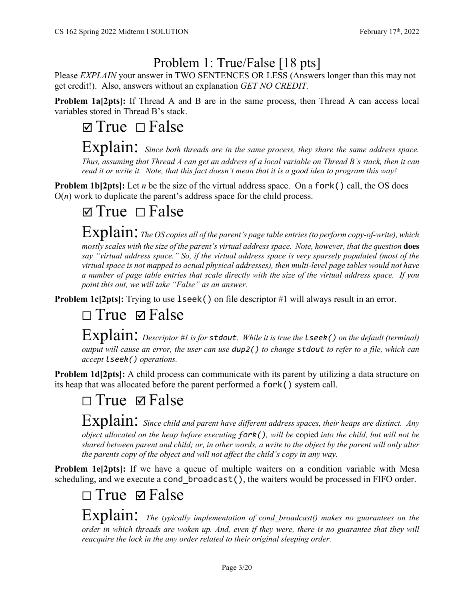## Problem 1: True/False [18 pts]

Please *EXPLAIN* your answer in TWO SENTENCES OR LESS (Answers longer than this may not get credit!). Also, answers without an explanation *GET NO CREDIT.*

**Problem 1a[2pts]:** If Thread A and B are in the same process, then Thread A can access local variables stored in Thread B's stack.

# $\Box$  True  $\Box$  False

Explain: *Since both threads are in the same process, they share the same address space. Thus, assuming that Thread A can get an address of a local variable on Thread B's stack, then it can read it or write it. Note, that this fact doesn't mean that it is a good idea to program this way!*

**Problem 1b[2pts]:** Let *n* be the size of the virtual address space. On a fork() call, the OS does  $O(n)$  work to duplicate the parent's address space for the child process.

# $\boxtimes$  True  $\Box$  False

Explain: *The OS copies all of the parent's page table entries (to perform copy-of-write), which mostly scales with the size of the parent's virtual address space. Note, however, that the question does say "virtual address space." So, if the virtual address space is very sparsely populated (most of the virtual space is not mapped to actual physical addresses), then multi-level page tables would not have a number of page table entries that scale directly with the size of the virtual address space. If you point this out, we will take "False" as an answer.*

**Problem 1c[2pts]:** Trying to use 1seek() on file descriptor #1 will always result in an error.

# □ True **Ø** False

Explain: *Descriptor #1 is for stdout. While it is true the lseek() on the default (terminal) output will cause an error, the user can use dup2() to change stdout to refer to a file, which can accept lseek() operations.* 

**Problem 1d[2pts]:** A child process can communicate with its parent by utilizing a data structure on its heap that was allocated before the parent performed a fork() system call.

# $\square$  True  $\square$  False

Explain: *Since child and parent have different address spaces, their heaps are distinct. Any object allocated on the heap before executing fork(), will be* copied *into the child, but will not be shared between parent and child; or, in other words, a write to the object by the parent will only alter the parents copy of the object and will not affect the child's copy in any way.*

**Problem 1e[2pts]:** If we have a queue of multiple waiters on a condition variable with Mesa scheduling, and we execute a cond\_broadcast(), the waiters would be processed in FIFO order.

# ⬜ True False

Explain: *The typically implementation of cond\_broadcast() makes no guarantees on the order in which threads are woken up. And, even if they were, there is no guarantee that they will reacquire the lock in the any order related to their original sleeping order.*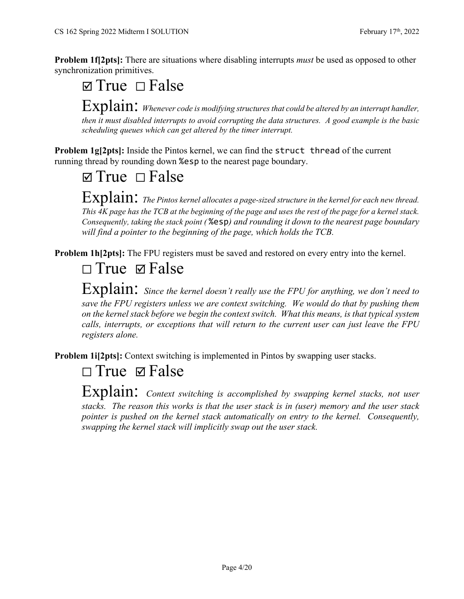**Problem 1f[2pts]:** There are situations where disabling interrupts *must* be used as opposed to other synchronization primitives.

Explain: *Whenever code is modifying structures that could be altered by an interrupt handler*, *then it must disabled interrupts to avoid corrupting the data structures. A good example is the basic scheduling queues which can get altered by the timer interrupt.*

**Problem 1g[2pts]:** Inside the Pintos kernel, we can find the struct thread of the current running thread by rounding down %esp to the nearest page boundary.

 $\Box$  True  $\Box$  False

 $\Box$  True  $\Box$  False

Explain: *The Pintos kernel allocates a page-sized structure in the kernel for each new thread. This 4K page has the TCB at the beginning of the page and uses the rest of the page for a kernel stack. Consequently, taking the stack point (* %esp*) and rounding it down to the nearest page boundary will find a pointer to the beginning of the page, which holds the TCB.* 

**Problem 1h[2pts]:** The FPU registers must be saved and restored on every entry into the kernel.

## ⬜ True False

Explain: *Since the kernel doesn't really use the FPU for anything, we don't need to save the FPU registers unless we are context switching. We would do that by pushing them on the kernel stack before we begin the context switch. What this means, is that typical system calls, interrupts, or exceptions that will return to the current user can just leave the FPU registers alone.* 

**Problem 1i[2pts]:** Context switching is implemented in Pintos by swapping user stacks.

## □ True **Ø** False

Explain: *Context switching is accomplished by swapping kernel stacks, not user stacks. The reason this works is that the user stack is in (user) memory and the user stack pointer is pushed on the kernel stack automatically on entry to the kernel. Consequently, swapping the kernel stack will implicitly swap out the user stack.*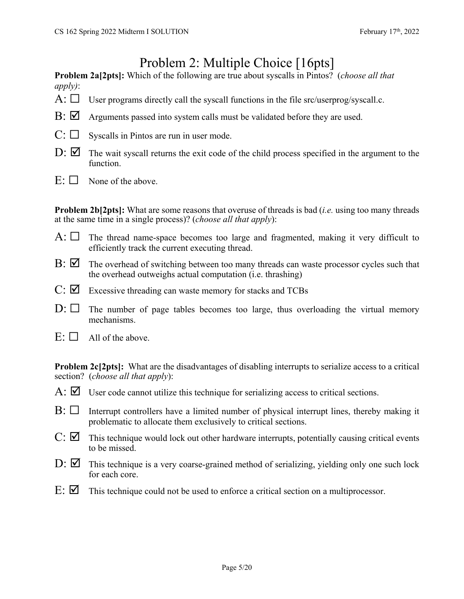## Problem 2: Multiple Choice [16pts]

**Problem 2a[2pts]:** Which of the following are true about syscalls in Pintos? (*choose all that apply)*:

- A:  $\Box$  User programs directly call the syscall functions in the file src/userprog/syscall.c.
- $\mathbf{B}$ :  $\Box$  Arguments passed into system calls must be validated before they are used.
- $C: \Box$  Syscalls in Pintos are run in user mode.
- $D: \nabla$  The wait syscall returns the exit code of the child process specified in the argument to the function.
- $E: \Box$  None of the above.

**Problem 2b[2pts]:** What are some reasons that overuse of threads is bad (*i.e.* using too many threads at the same time in a single process)? (*choose all that apply*):

- A:  $\Box$  The thread name-space becomes too large and fragmented, making it very difficult to efficiently track the current executing thread.
- $\mathbf{B}$ :  $\Box$  The overhead of switching between too many threads can waste processor cycles such that the overhead outweighs actual computation (i.e. thrashing)
- $C: \nabla$  Excessive threading can waste memory for stacks and TCBs
- $D: \Box$  The number of page tables becomes too large, thus overloading the virtual memory mechanisms.
- $E: \Box$  All of the above.

**Problem 2c[2pts]:** What are the disadvantages of disabling interrupts to serialize access to a critical section? (*choose all that apply*):

- $\overline{A}$ :  $\overline{V}$  User code cannot utilize this technique for serializing access to critical sections.
- $B: \Box$  Interrupt controllers have a limited number of physical interrupt lines, thereby making it problematic to allocate them exclusively to critical sections.
- $C: \nabla$  This technique would lock out other hardware interrupts, potentially causing critical events to be missed.
- $D: \mathbb{Z}$  This technique is a very coarse-grained method of serializing, yielding only one such lock for each core.
- $E: \nabla$  This technique could not be used to enforce a critical section on a multiprocessor.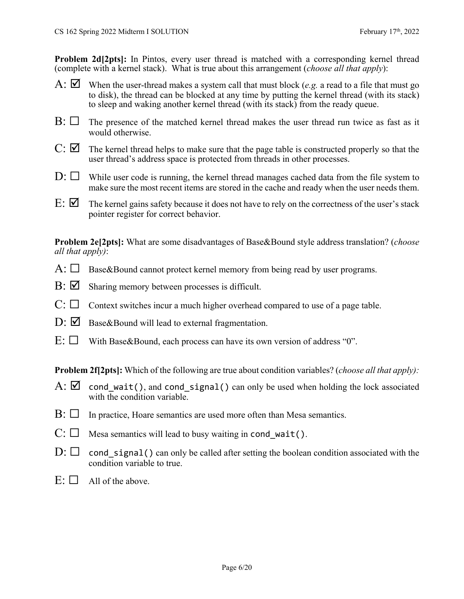**Problem 2d[2pts]:** In Pintos, every user thread is matched with a corresponding kernel thread (complete with a kernel stack). What is true about this arrangement (*choose all that apply*):

- A: When the user-thread makes a system call that must block (*e.g.* a read to a file that must go to disk), the thread can be blocked at any time by putting the kernel thread (with its stack) to sleep and waking another kernel thread (with its stack) from the ready queue.
- $B: \Box$  The presence of the matched kernel thread makes the user thread run twice as fast as it would otherwise.
- $C: \nabla$  The kernel thread helps to make sure that the page table is constructed properly so that the user thread's address space is protected from threads in other processes.
- $D: \Box$  While user code is running, the kernel thread manages cached data from the file system to make sure the most recent items are stored in the cache and ready when the user needs them.
- $E: \nabla$  The kernel gains safety because it does not have to rely on the correctness of the user's stack pointer register for correct behavior.

**Problem 2e[2pts]:** What are some disadvantages of Base&Bound style address translation? (*choose all that apply)*:

- $A: \Box$  Base&Bound cannot protect kernel memory from being read by user programs.
- $\mathbf{B}$ :  $\Box$  Sharing memory between processes is difficult.
- $C: \Box$  Context switches incur a much higher overhead compared to use of a page table.
- $D: \mathbb{Z}$  Base&Bound will lead to external fragmentation.
- $E: \Box$  With Base & Bound, each process can have its own version of address "0".

**Problem 2f[2pts]:** Which of the following are true about condition variables? (*choose all that apply):* 

- A:  $\boxtimes$  cond wait(), and cond signal() can only be used when holding the lock associated with the condition variable.
- $\mathrm{B}$ :  $\Box$  In practice, Hoare semantics are used more often than Mesa semantics.
- $C: \Box$  Mesa semantics will lead to busy waiting in cond\_wait().
- $D: \Box$  cond signal() can only be called after setting the boolean condition associated with the condition variable to true.
- $E: \Box$  All of the above.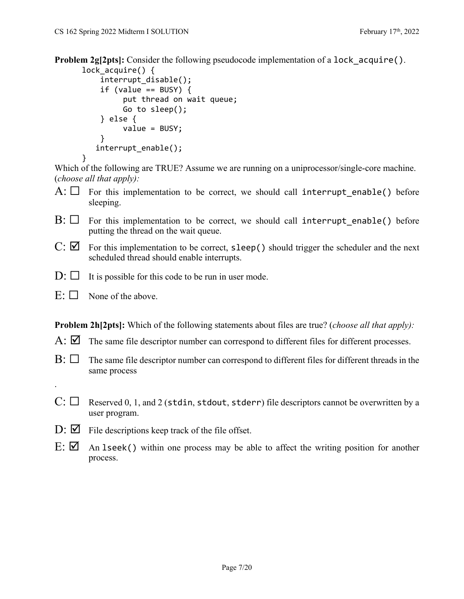**Problem 2g[2pts]:** Consider the following pseudocode implementation of a lock acquire().

```
lock acquire() \{    interrupt_disable();
     if (value == BUSY) {
                    put thread on wait queue;
                    Go to sleep();
         } else {
                    value = BUSY;
         }
       interrupt_enable();
}
```
Which of the following are TRUE? Assume we are running on a uniprocessor/single-core machine. (*choose all that apply):* 

- A:  $\Box$  For this implementation to be correct, we should call interrupt enable() before sleeping.
- $B: \Box$  For this implementation to be correct, we should call interrupt enable() before putting the thread on the wait queue.
- $C: \nabla$  For this implementation to be correct, sleep() should trigger the scheduler and the next scheduled thread should enable interrupts.
- $D: \Box$  It is possible for this code to be run in user mode.
- $E: \Box$  None of the above.

.

**Problem 2h[2pts]:** Which of the following statements about files are true? (*choose all that apply):* 

- A:  $\boxtimes$  The same file descriptor number can correspond to different files for different processes.
- $\mathrm{B}$ :  $\Box$  The same file descriptor number can correspond to different files for different threads in the same process
- $C: \Box$  Reserved 0, 1, and 2 (stdin, stdout, stderr) file descriptors cannot be overwritten by a user program.
- $D: \nabla$  File descriptions keep track of the file offset.
- $E: \nabla$  An 1seek() within one process may be able to affect the writing position for another process.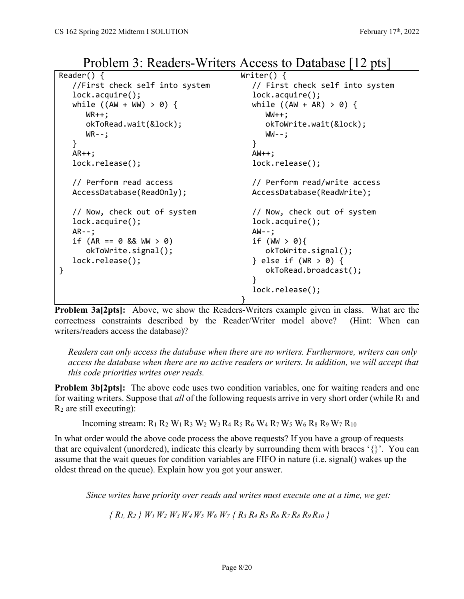| Reader() $\{$                  | Writer() $\{$                   |
|--------------------------------|---------------------------------|
| //First check self into system | // First check self into system |
| $lock.arange()$ ;              | lock.acquire();                 |
| while $((AW + WW) > 0)$ {      | while $((AW + AR) > 0)$ {       |
| $WR++;$                        | $WW++;$                         |
| okToRead.wait(&lock);          | $okTokrite.wait(Qlock)$ ;       |
| $WR - -$ ;                     | $WW--;$                         |
| }                              | }                               |
| $AR++;$                        | $AW++;$                         |
| lock.release();                | lock.release();                 |
|                                |                                 |
| // Perform read access         | // Perform read/write access    |
| AccessDatabase(ReadOnly);      | AccessDatabase(ReadWrite);      |
|                                |                                 |
| // Now, check out of system    | // Now, check out of system     |
| lock.acquire();                | lock.acquire();                 |
| $AR - -;$                      | $AW--;$                         |
| if $(AR == 0 & 8 & WW > 0)$    | if $(WN > 0)$ {                 |
| $okTokrite.signal()$ ;         | $okTokrite.signal()$ ;          |
| lock.release();                | } else if $(WR > 0)$ {          |
| }                              | okToRead.broadcast();           |
|                                |                                 |
|                                | lock.release();                 |
|                                |                                 |

Problem 3: Readers-Writers Access to Database [12 pts]

**Problem 3a[2pts]:** Above, we show the Readers-Writers example given in class. What are the correctness constraints described by the Reader/Writer model above? (Hint: When can writers/readers access the database)?

*Readers can only access the database when there are no writers. Furthermore, writers can only access the database when there are no active readers or writers. In addition, we will accept that this code priorities writes over reads.*

**Problem 3b[2pts]:** The above code uses two condition variables, one for waiting readers and one for waiting writers. Suppose that *all* of the following requests arrive in very short order (while R1 and  $R_2$  are still executing):

Incoming stream: R1 R2 W1 R3 W2 W3 R4 R5 R6 W4 R7 W5 W6 R8 R9 W7 R10

In what order would the above code process the above requests? If you have a group of requests that are equivalent (unordered), indicate this clearly by surrounding them with braces '{}'. You can assume that the wait queues for condition variables are FIFO in nature (i.e. signal() wakes up the oldest thread on the queue). Explain how you got your answer.

 *Since writes have priority over reads and writes must execute one at a time, we get:* 

*{ R1, R2 } W1 W2 W3 W4 W5 W6 W7 { R3 R4 R5 R6 R7 R8 R9 R10 }*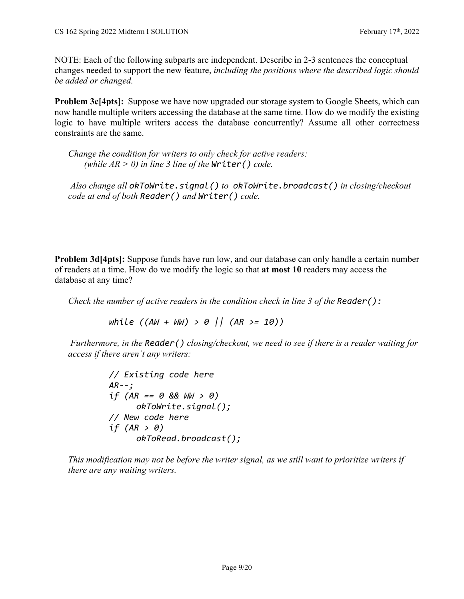NOTE: Each of the following subparts are independent. Describe in 2-3 sentences the conceptual changes needed to support the new feature, *including the positions where the described logic should be added or changed.* 

**Problem 3c[4pts]:** Suppose we have now upgraded our storage system to Google Sheets, which can now handle multiple writers accessing the database at the same time. How do we modify the existing logic to have multiple writers access the database concurrently? Assume all other correctness constraints are the same.

*Change the condition for writers to only check for active readers: (while*  $AR > 0$ *) in line 3 line of the Writer() code.* 

 *Also change all okToWrite.signal() to okToWrite.broadcast() in closing/checkout code at end of both Reader() and Writer() code.*

**Problem 3d** [4pts]: Suppose funds have run low, and our database can only handle a certain number of readers at a time. How do we modify the logic so that **at most 10** readers may access the database at any time?

*Check the number of active readers in the condition check in line 3 of the Reader():* 

 *while ((AW + WW) > 0 || (AR >= 10))*

 *Furthermore, in the Reader() closing/checkout, we need to see if there is a reader waiting for access if there aren't any writers:* 

```
// Existing code here
AR‐‐;
if (AR == 0 && WW > 0)
     okToWrite.signal();
// New code here
if (AR > 0)
     okToRead.broadcast();
```
*This modification may not be before the writer signal, as we still want to prioritize writers if there are any waiting writers.*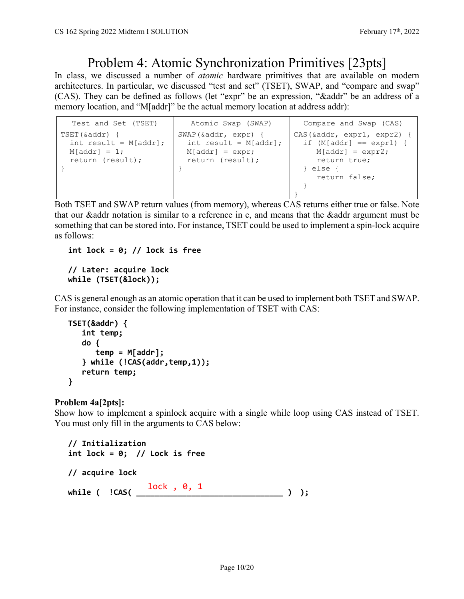### Problem 4: Atomic Synchronization Primitives [23pts]

In class, we discussed a number of *atomic* hardware primitives that are available on modern architectures. In particular, we discussed "test and set" (TSET), SWAP, and "compare and swap" (CAS). They can be defined as follows (let "expr" be an expression, "&addr" be an address of a memory location, and "M[addr]" be the actual memory location at address addr):

| Test and Set (TSET)                                                                | Atomic Swap (SWAP)                                                                       | Compare and Swap (CAS)                                                                                                                            |
|------------------------------------------------------------------------------------|------------------------------------------------------------------------------------------|---------------------------------------------------------------------------------------------------------------------------------------------------|
| $TSET(\&addr)$ {<br>int result = $M[addr]$ ;<br>$M[addr] = 1;$<br>return (result); | SWAP(&addr, expr) {<br>int result = $M[addr]$ ;<br>$M[addr] = expr;$<br>return (result); | $CAS(\text{saddr}, \text{expr1}, \text{expr2})$ {<br>if $(M[addr] == expr1)$ {<br>$M[addr] = expr2;$<br>return true;<br>} else {<br>return false; |

Both TSET and SWAP return values (from memory), whereas CAS returns either true or false. Note that our &addr notation is similar to a reference in c, and means that the &addr argument must be something that can be stored into. For instance, TSET could be used to implement a spin-lock acquire as follows:

**int lock = 0; // lock is free**

#### **// Later: acquire lock while (TSET(&lock));**

CAS is general enough as an atomic operation that it can be used to implement both TSET and SWAP. For instance, consider the following implementation of TSET with CAS:

```
TSET(&addr) {
       int temp;
       do {
           temp = M[addr];
       } while (!CAS(addr,temp,1));
       return temp;
}
```
### **Problem 4a[2pts]:**

Show how to implement a spinlock acquire with a single while loop using CAS instead of TSET. You must only fill in the arguments to CAS below:

```
// Initialization
int lock = 0; // Lock is free
// acquire lock
while ( !CAS( ________________________________ ) ); lock , 0, 1
```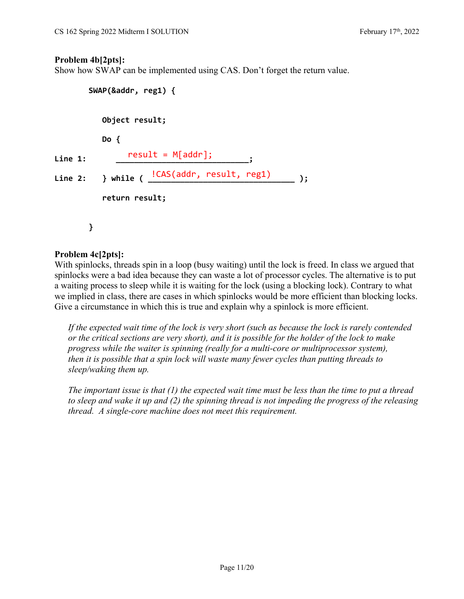#### **Problem 4b[2pts]:**

Show how SWAP can be implemented using CAS. Don't forget the return value.

```
SWAP(&addr, reg1) {
                 Object result;
                 Do {
Line 1:     _____________________________;
result = M[addr];
Line 2: } while ( ________________________________ );
!CAS(addr, result, reg1)    return result;
         }
```
### **Problem 4c[2pts]:**

With spinlocks, threads spin in a loop (busy waiting) until the lock is freed. In class we argued that spinlocks were a bad idea because they can waste a lot of processor cycles. The alternative is to put a waiting process to sleep while it is waiting for the lock (using a blocking lock). Contrary to what we implied in class, there are cases in which spinlocks would be more efficient than blocking locks. Give a circumstance in which this is true and explain why a spinlock is more efficient.

*If the expected wait time of the lock is very short (such as because the lock is rarely contended or the critical sections are very short), and it is possible for the holder of the lock to make progress while the waiter is spinning (really for a multi-core or multiprocessor system), then it is possible that a spin lock will waste many fewer cycles than putting threads to sleep/waking them up.* 

*The important issue is that (1) the expected wait time must be less than the time to put a thread to sleep and wake it up and (2) the spinning thread is not impeding the progress of the releasing thread. A single-core machine does not meet this requirement.*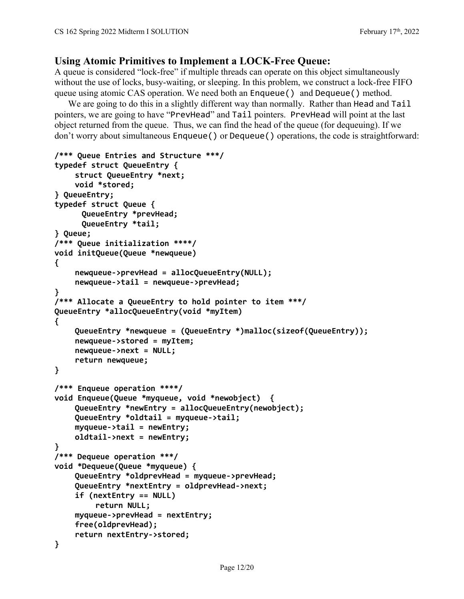### **Using Atomic Primitives to Implement a LOCK-Free Queue:**

A queue is considered "lock-free" if multiple threads can operate on this object simultaneously without the use of locks, busy-waiting, or sleeping. In this problem, we construct a lock-free FIFO queue using atomic CAS operation. We need both an Enqueue() and Dequeue() method.

We are going to do this in a slightly different way than normally. Rather than Head and Tail pointers, we are going to have "PrevHead" and Tail pointers. PrevHead will point at the last object returned from the queue. Thus, we can find the head of the queue (for dequeuing). If we don't worry about simultaneous Enqueue() or Dequeue() operations, the code is straightforward:

```
/*** Queue Entries and Structure ***/
typedef struct QueueEntry {     
    struct QueueEntry *next;
    void *stored;
} QueueEntry;
typedef struct Queue {   
      QueueEntry *prevHead;
      QueueEntry *tail;
} Queue;
/*** Queue initialization ****/
void initQueue(Queue *newqueue)
{
    newqueue‐>prevHead = allocQueueEntry(NULL);
    newqueue‐>tail = newqueue‐>prevHead;
}
/*** Allocate a QueueEntry to hold pointer to item ***/
QueueEntry *allocQueueEntry(void *myItem)
{
    QueueEntry *newqueue = (QueueEntry *)malloc(sizeof(QueueEntry));
    newqueue‐>stored = myItem;
    newqueue‐>next = NULL;
    return newqueue;
}
/*** Enqueue operation ****/
void Enqueue(Queue *myqueue, void *newobject)  {
    QueueEntry *newEntry = allocQueueEntry(newobject);
    QueueEntry *oldtail = myqueue‐>tail;
    myqueue‐>tail = newEntry;
    oldtail‐>next = newEntry;
}
/*** Dequeue operation ***/
void *Dequeue(Queue *myqueue) {
    QueueEntry *oldprevHead = myqueue‐>prevHead;
    QueueEntry *nextEntry = oldprevHead‐>next;
    if (nextEntry == NULL)
             return NULL;
    myqueue‐>prevHead = nextEntry;
    free(oldprevHead);
    return nextEntry‐>stored;
}
```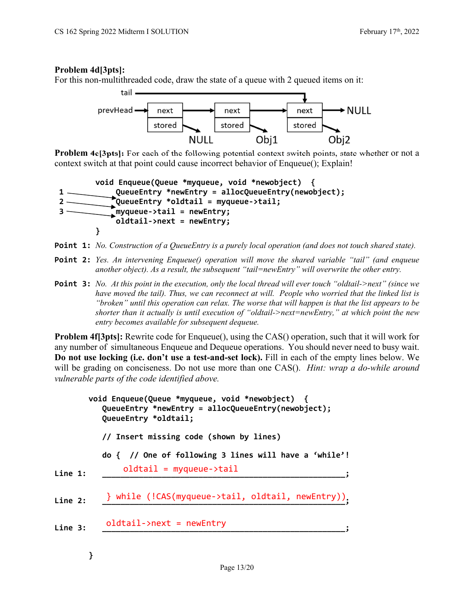### **Problem 4d[3pts]:**

For this non-multithreaded code, draw the state of a queue with 2 queued items on it:



**Problem 4e[3pts]:** For each of the following potential context switch points, state whether or not a context switch at that point could cause incorrect behavior of Enqueue(); Explain!

```
    void Enqueue(Queue *myqueue, void *newobject)  {
1     QueueEntry *newEntry = allocQueueEntry(newobject);
2     QueueEntry *oldtail = myqueue‐>tail;
3     myqueue‐>tail = newEntry;
                oldtail‐>next = newEntry;
    }
```
- **Point 1:** *No. Construction of a QueueEntry is a purely local operation (and does not touch shared state).*
- **Point 2:** *Yes. An intervening Enqueue() operation will move the shared variable "tail" (and enqueue another object). As a result, the subsequent "tail=newEntry" will overwrite the other entry.*
- **Point 3:** *No. At this point in the execution, only the local thread will ever touch "oldtail->next" (since we have moved the tail). Thus, we can reconnect at will. People who worried that the linked list is "broken" until this operation can relax. The worse that will happen is that the list appears to be shorter than it actually is until execution of "oldtail->next=newEntry," at which point the new entry becomes available for subsequent dequeue.*

**Problem 4f**[3pts]: Rewrite code for Enqueue(), using the CAS() operation, such that it will work for any number of simultaneous Enqueue and Dequeue operations. You should never need to busy wait. **Do not use locking (i.e. don't use a test-and-set lock).** Fill in each of the empty lines below. We will be grading on conciseness. Do not use more than one CAS(). *Hint: wrap a do-while around vulnerable parts of the code identified above.* 

|         | void Enqueue(Queue *myqueue, void *newobject) {<br>QueueEntry *newEntry = allocQueueEntry(newobject);<br>QueueEntry *oldtail; |  |  |
|---------|-------------------------------------------------------------------------------------------------------------------------------|--|--|
|         | // Insert missing code (shown by lines)                                                                                       |  |  |
|         | $\text{do}$ { // One of following 3 lines will have a 'while'!                                                                |  |  |
| Line 1: | $oldtail = myqueue - \times tail$                                                                                             |  |  |
| Line 2: | } while (!CAS(myqueue->tail, oldtail, newEntry))                                                                              |  |  |
| Line 3: | $oldtail$ ->next = newEntry                                                                                                   |  |  |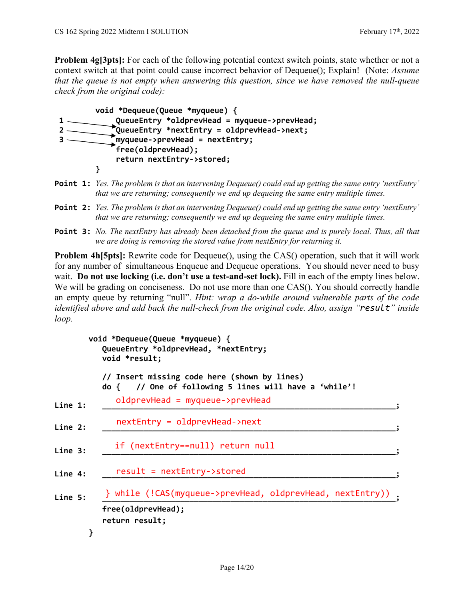**Problem 4g[3pts]:** For each of the following potential context switch points, state whether or not a context switch at that point could cause incorrect behavior of Dequeue(); Explain! (Note: *Assume that the queue is not empty when answering this question, since we have removed the null-queue check from the original code):*



- **Point 1:** *Yes. The problem is that an intervening Dequeue() could end up getting the same entry 'nextEntry' that we are returning; consequently we end up dequeing the same entry multiple times.*
- **Point 2:** *Yes. The problem is that an intervening Dequeue() could end up getting the same entry 'nextEntry' that we are returning; consequently we end up dequeing the same entry multiple times.*
- **Point 3:** *No. The nextEntry has already been detached from the queue and is purely local. Thus, all that we are doing is removing the stored value from nextEntry for returning it.*

**Problem 4h[5pts]:** Rewrite code for Dequeue(), using the CAS() operation, such that it will work for any number of simultaneous Enqueue and Dequeue operations. You should never need to busy wait. **Do not use locking (i.e. don't use a test-and-set lock).** Fill in each of the empty lines below. We will be grading on conciseness. Do not use more than one CAS(). You should correctly handle an empty queue by returning "null". *Hint: wrap a do-while around vulnerable parts of the code identified above and add back the null-check from the original code. Also, assign "result" inside loop.* 

|         | void *Dequeue(Queue *myqueue) {<br>QueueEntry *oldprevHead, *nextEntry;<br>void *result;              |  |
|---------|-------------------------------------------------------------------------------------------------------|--|
|         | // Insert missing code here (shown by lines)<br>do { // One of following 5 lines will have a 'while'! |  |
| Line 1: | $oldprevHead = myqueue->prevHead$                                                                     |  |
| Line 2: | $nextEntry = oldprevHead - \text{next}$                                                               |  |
| Line 3: | if (nextEntry==null) return null                                                                      |  |
| Line 4: | result = nextEntry->stored                                                                            |  |
| Line 5: | } while (!CAS(myqueue->prevHead, oldprevHead, nextEntry))                                             |  |
|         | free(oldprevHead);<br>return result;                                                                  |  |
|         |                                                                                                       |  |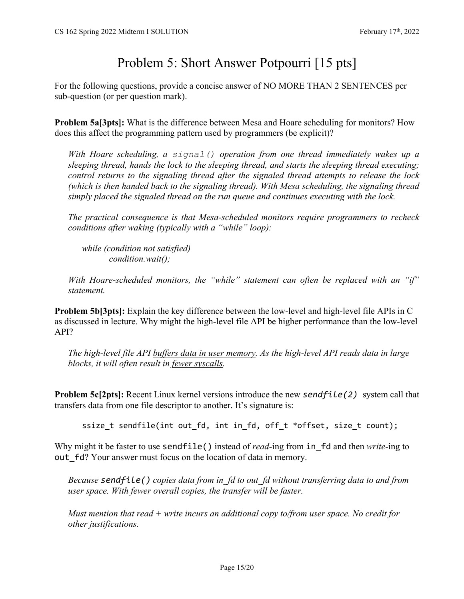## Problem 5: Short Answer Potpourri [15 pts]

For the following questions, provide a concise answer of NO MORE THAN 2 SENTENCES per sub-question (or per question mark).

**Problem 5a[3pts]:** What is the difference between Mesa and Hoare scheduling for monitors? How does this affect the programming pattern used by programmers (be explicit)?

*With Hoare scheduling, a signal() operation from one thread immediately wakes up a sleeping thread, hands the lock to the sleeping thread, and starts the sleeping thread executing; control returns to the signaling thread after the signaled thread attempts to release the lock (which is then handed back to the signaling thread). With Mesa scheduling, the signaling thread simply placed the signaled thread on the run queue and continues executing with the lock.* 

*The practical consequence is that Mesa-scheduled monitors require programmers to recheck conditions after waking (typically with a "while" loop):* 

*while (condition not satisfied) condition.wait();* 

*With Hoare-scheduled monitors, the "while" statement can often be replaced with an "if" statement.*

**Problem 5b[3pts]:** Explain the key difference between the low-level and high-level file APIs in C as discussed in lecture. Why might the high-level file API be higher performance than the low-level API?

*The high-level file API buffers data in user memory. As the high-level API reads data in large blocks, it will often result in fewer syscalls.* 

**Problem 5c[2pts]:** Recent Linux kernel versions introduce the new *sendfile(2)* system call that transfers data from one file descriptor to another. It's signature is:

ssize\_t sendfile(int out\_fd, int in\_fd, off\_t \*offset, size\_t count);

Why might it be faster to use **sendfile()** instead of *read-*ing from **in** fd and then *write-*ing to out fd? Your answer must focus on the location of data in memory.

*Because sendfile() copies data from in\_fd to out\_fd without transferring data to and from user space. With fewer overall copies, the transfer will be faster.* 

*Must mention that read + write incurs an additional copy to/from user space. No credit for other justifications.*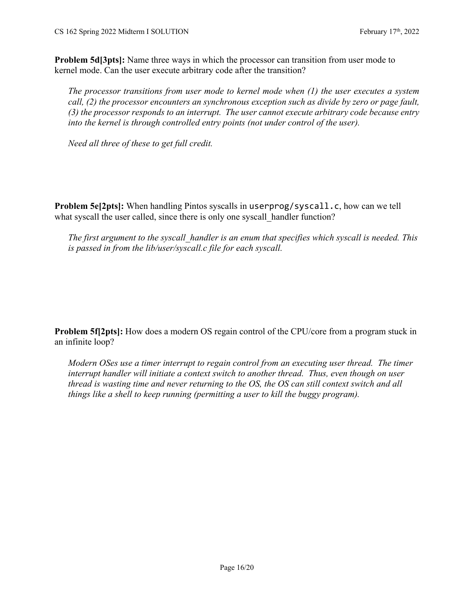**Problem 5d[3pts]:** Name three ways in which the processor can transition from user mode to kernel mode. Can the user execute arbitrary code after the transition?

*The processor transitions from user mode to kernel mode when (1) the user executes a system call, (2) the processor encounters an synchronous exception such as divide by zero or page fault, (3) the processor responds to an interrupt. The user cannot execute arbitrary code because entry into the kernel is through controlled entry points (not under control of the user).* 

*Need all three of these to get full credit.*

**Problem 5e[2pts]:** When handling Pintos syscalls in userprog/syscall.c, how can we tell what syscall the user called, since there is only one syscall handler function?

*The first argument to the syscall\_handler is an enum that specifies which syscall is needed. This is passed in from the lib/user/syscall.c file for each syscall.* 

**Problem 5f[2pts]:** How does a modern OS regain control of the CPU/core from a program stuck in an infinite loop?

*Modern OSes use a timer interrupt to regain control from an executing user thread. The timer interrupt handler will initiate a context switch to another thread. Thus, even though on user thread is wasting time and never returning to the OS, the OS can still context switch and all things like a shell to keep running (permitting a user to kill the buggy program).*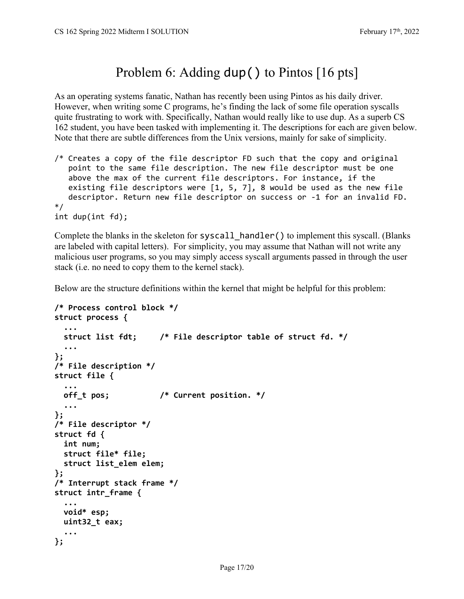## Problem 6: Adding dup () to Pintos [16 pts]

As an operating systems fanatic, Nathan has recently been using Pintos as his daily driver. However, when writing some C programs, he's finding the lack of some file operation syscalls quite frustrating to work with. Specifically, Nathan would really like to use dup. As a superb CS 162 student, you have been tasked with implementing it. The descriptions for each are given below. Note that there are subtle differences from the Unix versions, mainly for sake of simplicity.

/\* Creates a copy of the file descriptor FD such that the copy and original point to the same file description. The new file descriptor must be one above the max of the current file descriptors. For instance, if the existing file descriptors were [1, 5, 7], 8 would be used as the new file descriptor. Return new file descriptor on success or ‐1 for an invalid FD. \*/ int dup(int fd);

Complete the blanks in the skeleton for syscall\_handler() to implement this syscall. (Blanks are labeled with capital letters). For simplicity, you may assume that Nathan will not write any malicious user programs, so you may simply access syscall arguments passed in through the user stack (i.e. no need to copy them to the kernel stack).

Below are the structure definitions within the kernel that might be helpful for this problem:

```
/* Process control block */
struct process {
    ...
    struct list fdt;     /* File descriptor table of struct fd. */
    ...
};  
/* File description */
struct file {
    ...
    off_t pos;           /* Current position. */
    ...
};  
/* File descriptor */
struct fd {
    int num;
    struct file* file;
    struct list_elem elem;
};
/* Interrupt stack frame */
struct intr_frame {
    ...
    void* esp;
    uint32_t eax;
  ...
};
```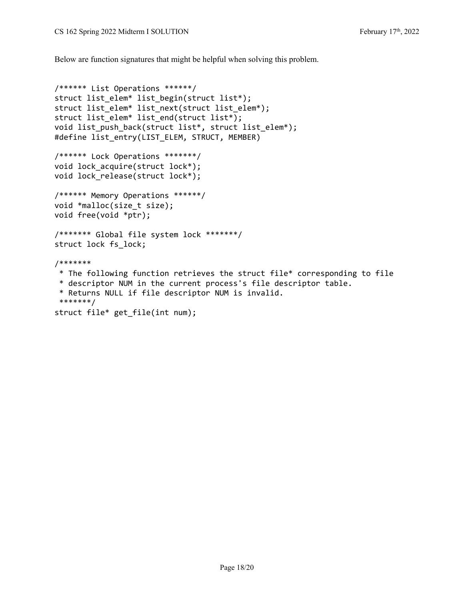Below are function signatures that might be helpful when solving this problem.

```
/****** List Operations ******/
struct list_elem* list_begin(struct list*);
struct list_elem* list_next(struct list_elem*);
struct list_elem* list_end(struct list*);
void list push back(struct list*, struct list elem*);
#define list_entry(LIST_ELEM, STRUCT, MEMBER)
/****** Lock Operations *******/
void lock_acquire(struct lock*);
void lock release(struct lock*);
/****** Memory Operations ******/
void *malloc(size_t size);
void free(void *ptr);
/******* Global file system lock *******/
struct lock fs_lock;
/*******
 * The following function retrieves the struct file* corresponding to file
 * descriptor NUM in the current process's file descriptor table.  
 * Returns NULL if file descriptor NUM is invalid.  
 *******/
struct file* get_file(int num);
```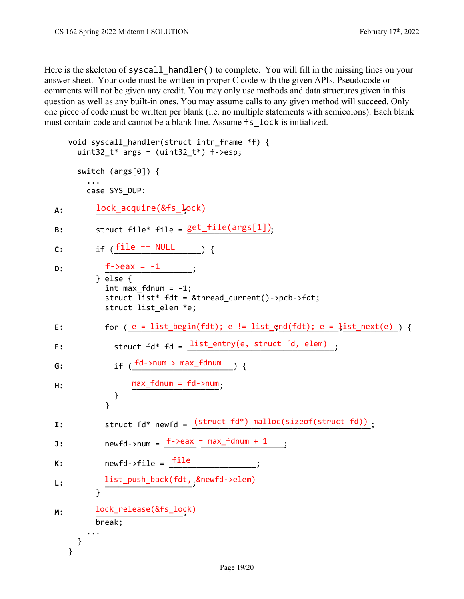Here is the skeleton of syscall handler() to complete. You will fill in the missing lines on your answer sheet. Your code must be written in proper C code with the given APIs. Pseudocode or comments will not be given any credit. You may only use methods and data structures given in this question as well as any built-in ones. You may assume calls to any given method will succeed. Only one piece of code must be written per blank (i.e. no multiple statements with semicolons). Each blank must contain code and cannot be a blank line. Assume fs\_lock is initialized.

```
void syscall handler(struct intr frame *f) {
      uint32 t* args = (uint32 t*) f->esp;
            switch (args[0]) {
        ...
                case SYS_DUP:
A: lock_acquire(&fs_lock)
B:       struct file* file = __________________;
get_file(args[1])
C:       if (___________________) {
file == NULL    
D: f\rightarrow eax = -1 ;
                     } else {
             int max fdnum = -1;
                          struct list* fdt = &thread_current()‐>pcb‐>fdt;
              struct list elem *e;
E:     for (<u>_e_=_list_begin(fdt); e != list_end(fdt); e = list_next(e)_) {</u>
F: Struct fd* fd = \frac{\text{list\_entry(e, struct fd, elem)}}{\text{list\_entry(e, struct fd, elem)}};
G:           if (______________________) {
fd‐>num > max_fdnum    
H:           ___________________;
max_fdnum = fd‐>num    
              }
            }
I:         struct fd* newfd = _______________________________________;
(struct fd*) malloc(sizeof(struct fd))   
J:         newfd‐>num = _______ __________________;
f‐>eax = max_fdnum + 1   
K:         newfd‐>file = ___________________;
file
L:         ___________________;
list_push_back(fdt, &newfd‐>elem)
          }
M:       ___________________;
lock_release(&fs_lock)          break;
        ...
            }
       }
```